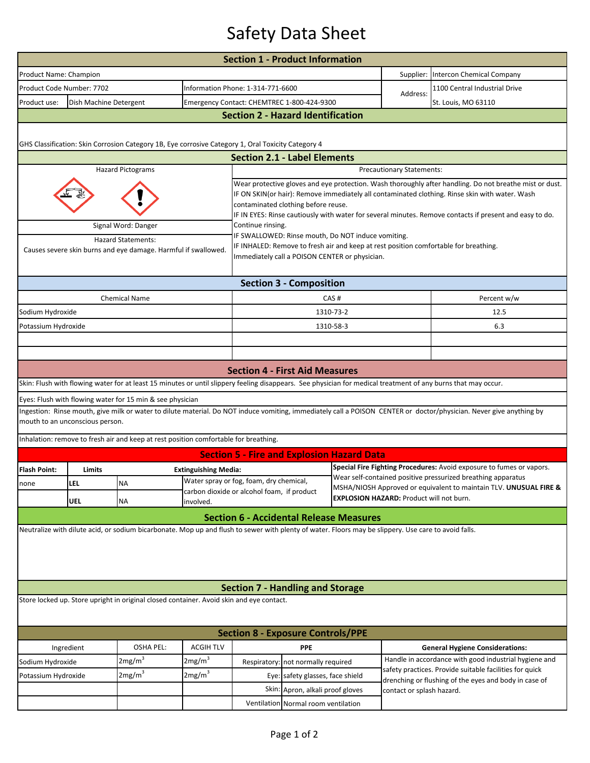## Safety Data Sheet

| Product Name: Champion<br>Supplier:<br>Intercon Chemical Company<br>Product Code Number: 7702<br>Information Phone: 1-314-771-6600<br>1100 Central Industrial Drive<br>Address:<br>Product use:<br>Dish Machine Detergent<br>Emergency Contact: CHEMTREC 1-800-424-9300<br>St. Louis, MO 63110<br><b>Section 2 - Hazard Identification</b><br>GHS Classification: Skin Corrosion Category 1B, Eye corrosive Category 1, Oral Toxicity Category 4<br><b>Section 2.1 - Label Elements</b><br><b>Hazard Pictograms</b><br>Precautionary Statements:<br>Wear protective gloves and eye protection. Wash thoroughly after handling. Do not breathe mist or dust.<br>IF ON SKIN(or hair): Remove immediately all contaminated clothing. Rinse skin with water. Wash<br>contaminated clothing before reuse.<br>IF IN EYES: Rinse cautiously with water for several minutes. Remove contacts if present and easy to do.<br>Continue rinsing.<br>Signal Word: Danger<br>IF SWALLOWED: Rinse mouth, Do NOT induce vomiting.<br><b>Hazard Statements:</b><br>IF INHALED: Remove to fresh air and keep at rest position comfortable for breathing.<br>Causes severe skin burns and eye damage. Harmful if swallowed<br>Immediately call a POISON CENTER or physician.<br><b>Section 3 - Composition</b><br><b>Chemical Name</b><br>CAS#<br>Percent w/w<br>1310-73-2<br>Sodium Hydroxide<br>12.5<br>1310-58-3<br>6.3<br>Potassium Hydroxide<br><b>Section 4 - First Aid Measures</b><br>Skin: Flush with flowing water for at least 15 minutes or until slippery feeling disappears. See physician for medical treatment of any burns that may occur.<br>Eyes: Flush with flowing water for 15 min & see physician<br>Ingestion: Rinse mouth, give milk or water to dilute material. Do NOT induce vomiting, immediately call a POISON CENTER or doctor/physician. Never give anything by<br>mouth to an unconscious person.<br>Inhalation: remove to fresh air and keep at rest position comfortable for breathing.<br><b>Section 5 - Fire and Explosion Hazard Data</b><br>Special Fire Fighting Procedures: Avoid exposure to fumes or vapors.<br><b>Flash Point:</b><br>Limits<br><b>Extinguishing Media:</b><br>Wear self-contained positive pressurized breathing apparatus<br>Water spray or fog, foam, dry chemical<br><b>LEL</b><br><b>NA</b><br>none<br>MSHA/NIOSH Approved or equivalent to maintain TLV. UNUSUAL FIRE &<br>carbon dioxide or alcohol foam, if product<br><b>EXPLOSION HAZARD: Product will not burn.</b><br><b>UEL</b><br><b>NA</b><br>involved.<br><b>Section 6 - Accidental Release Measures</b> | <b>Section 1 - Product Information</b> |  |  |  |  |  |  |                                                       |  |  |  |  |
|-------------------------------------------------------------------------------------------------------------------------------------------------------------------------------------------------------------------------------------------------------------------------------------------------------------------------------------------------------------------------------------------------------------------------------------------------------------------------------------------------------------------------------------------------------------------------------------------------------------------------------------------------------------------------------------------------------------------------------------------------------------------------------------------------------------------------------------------------------------------------------------------------------------------------------------------------------------------------------------------------------------------------------------------------------------------------------------------------------------------------------------------------------------------------------------------------------------------------------------------------------------------------------------------------------------------------------------------------------------------------------------------------------------------------------------------------------------------------------------------------------------------------------------------------------------------------------------------------------------------------------------------------------------------------------------------------------------------------------------------------------------------------------------------------------------------------------------------------------------------------------------------------------------------------------------------------------------------------------------------------------------------------------------------------------------------------------------------------------------------------------------------------------------------------------------------------------------------------------------------------------------------------------------------------------------------------------------------------------------------------------------------------------------------------------------------------------------------------------------------------------------------------------------------------------------------------------------------------------------------|----------------------------------------|--|--|--|--|--|--|-------------------------------------------------------|--|--|--|--|
|                                                                                                                                                                                                                                                                                                                                                                                                                                                                                                                                                                                                                                                                                                                                                                                                                                                                                                                                                                                                                                                                                                                                                                                                                                                                                                                                                                                                                                                                                                                                                                                                                                                                                                                                                                                                                                                                                                                                                                                                                                                                                                                                                                                                                                                                                                                                                                                                                                                                                                                                                                                                                   |                                        |  |  |  |  |  |  |                                                       |  |  |  |  |
|                                                                                                                                                                                                                                                                                                                                                                                                                                                                                                                                                                                                                                                                                                                                                                                                                                                                                                                                                                                                                                                                                                                                                                                                                                                                                                                                                                                                                                                                                                                                                                                                                                                                                                                                                                                                                                                                                                                                                                                                                                                                                                                                                                                                                                                                                                                                                                                                                                                                                                                                                                                                                   |                                        |  |  |  |  |  |  |                                                       |  |  |  |  |
|                                                                                                                                                                                                                                                                                                                                                                                                                                                                                                                                                                                                                                                                                                                                                                                                                                                                                                                                                                                                                                                                                                                                                                                                                                                                                                                                                                                                                                                                                                                                                                                                                                                                                                                                                                                                                                                                                                                                                                                                                                                                                                                                                                                                                                                                                                                                                                                                                                                                                                                                                                                                                   |                                        |  |  |  |  |  |  |                                                       |  |  |  |  |
|                                                                                                                                                                                                                                                                                                                                                                                                                                                                                                                                                                                                                                                                                                                                                                                                                                                                                                                                                                                                                                                                                                                                                                                                                                                                                                                                                                                                                                                                                                                                                                                                                                                                                                                                                                                                                                                                                                                                                                                                                                                                                                                                                                                                                                                                                                                                                                                                                                                                                                                                                                                                                   |                                        |  |  |  |  |  |  |                                                       |  |  |  |  |
|                                                                                                                                                                                                                                                                                                                                                                                                                                                                                                                                                                                                                                                                                                                                                                                                                                                                                                                                                                                                                                                                                                                                                                                                                                                                                                                                                                                                                                                                                                                                                                                                                                                                                                                                                                                                                                                                                                                                                                                                                                                                                                                                                                                                                                                                                                                                                                                                                                                                                                                                                                                                                   |                                        |  |  |  |  |  |  |                                                       |  |  |  |  |
|                                                                                                                                                                                                                                                                                                                                                                                                                                                                                                                                                                                                                                                                                                                                                                                                                                                                                                                                                                                                                                                                                                                                                                                                                                                                                                                                                                                                                                                                                                                                                                                                                                                                                                                                                                                                                                                                                                                                                                                                                                                                                                                                                                                                                                                                                                                                                                                                                                                                                                                                                                                                                   |                                        |  |  |  |  |  |  |                                                       |  |  |  |  |
|                                                                                                                                                                                                                                                                                                                                                                                                                                                                                                                                                                                                                                                                                                                                                                                                                                                                                                                                                                                                                                                                                                                                                                                                                                                                                                                                                                                                                                                                                                                                                                                                                                                                                                                                                                                                                                                                                                                                                                                                                                                                                                                                                                                                                                                                                                                                                                                                                                                                                                                                                                                                                   |                                        |  |  |  |  |  |  |                                                       |  |  |  |  |
|                                                                                                                                                                                                                                                                                                                                                                                                                                                                                                                                                                                                                                                                                                                                                                                                                                                                                                                                                                                                                                                                                                                                                                                                                                                                                                                                                                                                                                                                                                                                                                                                                                                                                                                                                                                                                                                                                                                                                                                                                                                                                                                                                                                                                                                                                                                                                                                                                                                                                                                                                                                                                   |                                        |  |  |  |  |  |  |                                                       |  |  |  |  |
|                                                                                                                                                                                                                                                                                                                                                                                                                                                                                                                                                                                                                                                                                                                                                                                                                                                                                                                                                                                                                                                                                                                                                                                                                                                                                                                                                                                                                                                                                                                                                                                                                                                                                                                                                                                                                                                                                                                                                                                                                                                                                                                                                                                                                                                                                                                                                                                                                                                                                                                                                                                                                   |                                        |  |  |  |  |  |  |                                                       |  |  |  |  |
|                                                                                                                                                                                                                                                                                                                                                                                                                                                                                                                                                                                                                                                                                                                                                                                                                                                                                                                                                                                                                                                                                                                                                                                                                                                                                                                                                                                                                                                                                                                                                                                                                                                                                                                                                                                                                                                                                                                                                                                                                                                                                                                                                                                                                                                                                                                                                                                                                                                                                                                                                                                                                   |                                        |  |  |  |  |  |  |                                                       |  |  |  |  |
|                                                                                                                                                                                                                                                                                                                                                                                                                                                                                                                                                                                                                                                                                                                                                                                                                                                                                                                                                                                                                                                                                                                                                                                                                                                                                                                                                                                                                                                                                                                                                                                                                                                                                                                                                                                                                                                                                                                                                                                                                                                                                                                                                                                                                                                                                                                                                                                                                                                                                                                                                                                                                   |                                        |  |  |  |  |  |  |                                                       |  |  |  |  |
|                                                                                                                                                                                                                                                                                                                                                                                                                                                                                                                                                                                                                                                                                                                                                                                                                                                                                                                                                                                                                                                                                                                                                                                                                                                                                                                                                                                                                                                                                                                                                                                                                                                                                                                                                                                                                                                                                                                                                                                                                                                                                                                                                                                                                                                                                                                                                                                                                                                                                                                                                                                                                   |                                        |  |  |  |  |  |  |                                                       |  |  |  |  |
|                                                                                                                                                                                                                                                                                                                                                                                                                                                                                                                                                                                                                                                                                                                                                                                                                                                                                                                                                                                                                                                                                                                                                                                                                                                                                                                                                                                                                                                                                                                                                                                                                                                                                                                                                                                                                                                                                                                                                                                                                                                                                                                                                                                                                                                                                                                                                                                                                                                                                                                                                                                                                   |                                        |  |  |  |  |  |  |                                                       |  |  |  |  |
|                                                                                                                                                                                                                                                                                                                                                                                                                                                                                                                                                                                                                                                                                                                                                                                                                                                                                                                                                                                                                                                                                                                                                                                                                                                                                                                                                                                                                                                                                                                                                                                                                                                                                                                                                                                                                                                                                                                                                                                                                                                                                                                                                                                                                                                                                                                                                                                                                                                                                                                                                                                                                   |                                        |  |  |  |  |  |  |                                                       |  |  |  |  |
|                                                                                                                                                                                                                                                                                                                                                                                                                                                                                                                                                                                                                                                                                                                                                                                                                                                                                                                                                                                                                                                                                                                                                                                                                                                                                                                                                                                                                                                                                                                                                                                                                                                                                                                                                                                                                                                                                                                                                                                                                                                                                                                                                                                                                                                                                                                                                                                                                                                                                                                                                                                                                   |                                        |  |  |  |  |  |  |                                                       |  |  |  |  |
|                                                                                                                                                                                                                                                                                                                                                                                                                                                                                                                                                                                                                                                                                                                                                                                                                                                                                                                                                                                                                                                                                                                                                                                                                                                                                                                                                                                                                                                                                                                                                                                                                                                                                                                                                                                                                                                                                                                                                                                                                                                                                                                                                                                                                                                                                                                                                                                                                                                                                                                                                                                                                   |                                        |  |  |  |  |  |  |                                                       |  |  |  |  |
|                                                                                                                                                                                                                                                                                                                                                                                                                                                                                                                                                                                                                                                                                                                                                                                                                                                                                                                                                                                                                                                                                                                                                                                                                                                                                                                                                                                                                                                                                                                                                                                                                                                                                                                                                                                                                                                                                                                                                                                                                                                                                                                                                                                                                                                                                                                                                                                                                                                                                                                                                                                                                   |                                        |  |  |  |  |  |  |                                                       |  |  |  |  |
|                                                                                                                                                                                                                                                                                                                                                                                                                                                                                                                                                                                                                                                                                                                                                                                                                                                                                                                                                                                                                                                                                                                                                                                                                                                                                                                                                                                                                                                                                                                                                                                                                                                                                                                                                                                                                                                                                                                                                                                                                                                                                                                                                                                                                                                                                                                                                                                                                                                                                                                                                                                                                   |                                        |  |  |  |  |  |  |                                                       |  |  |  |  |
|                                                                                                                                                                                                                                                                                                                                                                                                                                                                                                                                                                                                                                                                                                                                                                                                                                                                                                                                                                                                                                                                                                                                                                                                                                                                                                                                                                                                                                                                                                                                                                                                                                                                                                                                                                                                                                                                                                                                                                                                                                                                                                                                                                                                                                                                                                                                                                                                                                                                                                                                                                                                                   |                                        |  |  |  |  |  |  |                                                       |  |  |  |  |
|                                                                                                                                                                                                                                                                                                                                                                                                                                                                                                                                                                                                                                                                                                                                                                                                                                                                                                                                                                                                                                                                                                                                                                                                                                                                                                                                                                                                                                                                                                                                                                                                                                                                                                                                                                                                                                                                                                                                                                                                                                                                                                                                                                                                                                                                                                                                                                                                                                                                                                                                                                                                                   |                                        |  |  |  |  |  |  |                                                       |  |  |  |  |
|                                                                                                                                                                                                                                                                                                                                                                                                                                                                                                                                                                                                                                                                                                                                                                                                                                                                                                                                                                                                                                                                                                                                                                                                                                                                                                                                                                                                                                                                                                                                                                                                                                                                                                                                                                                                                                                                                                                                                                                                                                                                                                                                                                                                                                                                                                                                                                                                                                                                                                                                                                                                                   |                                        |  |  |  |  |  |  |                                                       |  |  |  |  |
|                                                                                                                                                                                                                                                                                                                                                                                                                                                                                                                                                                                                                                                                                                                                                                                                                                                                                                                                                                                                                                                                                                                                                                                                                                                                                                                                                                                                                                                                                                                                                                                                                                                                                                                                                                                                                                                                                                                                                                                                                                                                                                                                                                                                                                                                                                                                                                                                                                                                                                                                                                                                                   |                                        |  |  |  |  |  |  |                                                       |  |  |  |  |
|                                                                                                                                                                                                                                                                                                                                                                                                                                                                                                                                                                                                                                                                                                                                                                                                                                                                                                                                                                                                                                                                                                                                                                                                                                                                                                                                                                                                                                                                                                                                                                                                                                                                                                                                                                                                                                                                                                                                                                                                                                                                                                                                                                                                                                                                                                                                                                                                                                                                                                                                                                                                                   |                                        |  |  |  |  |  |  |                                                       |  |  |  |  |
|                                                                                                                                                                                                                                                                                                                                                                                                                                                                                                                                                                                                                                                                                                                                                                                                                                                                                                                                                                                                                                                                                                                                                                                                                                                                                                                                                                                                                                                                                                                                                                                                                                                                                                                                                                                                                                                                                                                                                                                                                                                                                                                                                                                                                                                                                                                                                                                                                                                                                                                                                                                                                   |                                        |  |  |  |  |  |  |                                                       |  |  |  |  |
|                                                                                                                                                                                                                                                                                                                                                                                                                                                                                                                                                                                                                                                                                                                                                                                                                                                                                                                                                                                                                                                                                                                                                                                                                                                                                                                                                                                                                                                                                                                                                                                                                                                                                                                                                                                                                                                                                                                                                                                                                                                                                                                                                                                                                                                                                                                                                                                                                                                                                                                                                                                                                   |                                        |  |  |  |  |  |  |                                                       |  |  |  |  |
|                                                                                                                                                                                                                                                                                                                                                                                                                                                                                                                                                                                                                                                                                                                                                                                                                                                                                                                                                                                                                                                                                                                                                                                                                                                                                                                                                                                                                                                                                                                                                                                                                                                                                                                                                                                                                                                                                                                                                                                                                                                                                                                                                                                                                                                                                                                                                                                                                                                                                                                                                                                                                   |                                        |  |  |  |  |  |  |                                                       |  |  |  |  |
| Neutralize with dilute acid, or sodium bicarbonate. Mop up and flush to sewer with plenty of water. Floors may be slippery. Use care to avoid falls.                                                                                                                                                                                                                                                                                                                                                                                                                                                                                                                                                                                                                                                                                                                                                                                                                                                                                                                                                                                                                                                                                                                                                                                                                                                                                                                                                                                                                                                                                                                                                                                                                                                                                                                                                                                                                                                                                                                                                                                                                                                                                                                                                                                                                                                                                                                                                                                                                                                              |                                        |  |  |  |  |  |  |                                                       |  |  |  |  |
|                                                                                                                                                                                                                                                                                                                                                                                                                                                                                                                                                                                                                                                                                                                                                                                                                                                                                                                                                                                                                                                                                                                                                                                                                                                                                                                                                                                                                                                                                                                                                                                                                                                                                                                                                                                                                                                                                                                                                                                                                                                                                                                                                                                                                                                                                                                                                                                                                                                                                                                                                                                                                   |                                        |  |  |  |  |  |  |                                                       |  |  |  |  |
| <b>Section 7 - Handling and Storage</b>                                                                                                                                                                                                                                                                                                                                                                                                                                                                                                                                                                                                                                                                                                                                                                                                                                                                                                                                                                                                                                                                                                                                                                                                                                                                                                                                                                                                                                                                                                                                                                                                                                                                                                                                                                                                                                                                                                                                                                                                                                                                                                                                                                                                                                                                                                                                                                                                                                                                                                                                                                           |                                        |  |  |  |  |  |  |                                                       |  |  |  |  |
| Store locked up. Store upright in original closed container. Avoid skin and eye contact.                                                                                                                                                                                                                                                                                                                                                                                                                                                                                                                                                                                                                                                                                                                                                                                                                                                                                                                                                                                                                                                                                                                                                                                                                                                                                                                                                                                                                                                                                                                                                                                                                                                                                                                                                                                                                                                                                                                                                                                                                                                                                                                                                                                                                                                                                                                                                                                                                                                                                                                          |                                        |  |  |  |  |  |  |                                                       |  |  |  |  |
| <b>Section 8 - Exposure Controls/PPE</b>                                                                                                                                                                                                                                                                                                                                                                                                                                                                                                                                                                                                                                                                                                                                                                                                                                                                                                                                                                                                                                                                                                                                                                                                                                                                                                                                                                                                                                                                                                                                                                                                                                                                                                                                                                                                                                                                                                                                                                                                                                                                                                                                                                                                                                                                                                                                                                                                                                                                                                                                                                          |                                        |  |  |  |  |  |  |                                                       |  |  |  |  |
| <b>OSHA PEL:</b><br><b>ACGIH TLV</b><br><b>PPF</b><br>Ingredient<br><b>General Hygiene Considerations:</b>                                                                                                                                                                                                                                                                                                                                                                                                                                                                                                                                                                                                                                                                                                                                                                                                                                                                                                                                                                                                                                                                                                                                                                                                                                                                                                                                                                                                                                                                                                                                                                                                                                                                                                                                                                                                                                                                                                                                                                                                                                                                                                                                                                                                                                                                                                                                                                                                                                                                                                        |                                        |  |  |  |  |  |  |                                                       |  |  |  |  |
| Handle in accordance with good industrial hygiene and<br>2mg/m <sup>3</sup><br>2mg/m <sup>3</sup><br>Sodium Hydroxide<br>Respiratory: not normally required                                                                                                                                                                                                                                                                                                                                                                                                                                                                                                                                                                                                                                                                                                                                                                                                                                                                                                                                                                                                                                                                                                                                                                                                                                                                                                                                                                                                                                                                                                                                                                                                                                                                                                                                                                                                                                                                                                                                                                                                                                                                                                                                                                                                                                                                                                                                                                                                                                                       |                                        |  |  |  |  |  |  |                                                       |  |  |  |  |
| safety practices. Provide suitable facilities for quick<br>2mg/m <sup>3</sup><br>2mg/m <sup>3</sup><br>Eye: safety glasses, face shield<br>Potassium Hydroxide                                                                                                                                                                                                                                                                                                                                                                                                                                                                                                                                                                                                                                                                                                                                                                                                                                                                                                                                                                                                                                                                                                                                                                                                                                                                                                                                                                                                                                                                                                                                                                                                                                                                                                                                                                                                                                                                                                                                                                                                                                                                                                                                                                                                                                                                                                                                                                                                                                                    |                                        |  |  |  |  |  |  | drenching or flushing of the eyes and body in case of |  |  |  |  |
| Skin: Apron, alkali proof gloves<br>contact or splash hazard.                                                                                                                                                                                                                                                                                                                                                                                                                                                                                                                                                                                                                                                                                                                                                                                                                                                                                                                                                                                                                                                                                                                                                                                                                                                                                                                                                                                                                                                                                                                                                                                                                                                                                                                                                                                                                                                                                                                                                                                                                                                                                                                                                                                                                                                                                                                                                                                                                                                                                                                                                     |                                        |  |  |  |  |  |  |                                                       |  |  |  |  |
| Ventilation Normal room ventilation                                                                                                                                                                                                                                                                                                                                                                                                                                                                                                                                                                                                                                                                                                                                                                                                                                                                                                                                                                                                                                                                                                                                                                                                                                                                                                                                                                                                                                                                                                                                                                                                                                                                                                                                                                                                                                                                                                                                                                                                                                                                                                                                                                                                                                                                                                                                                                                                                                                                                                                                                                               |                                        |  |  |  |  |  |  |                                                       |  |  |  |  |